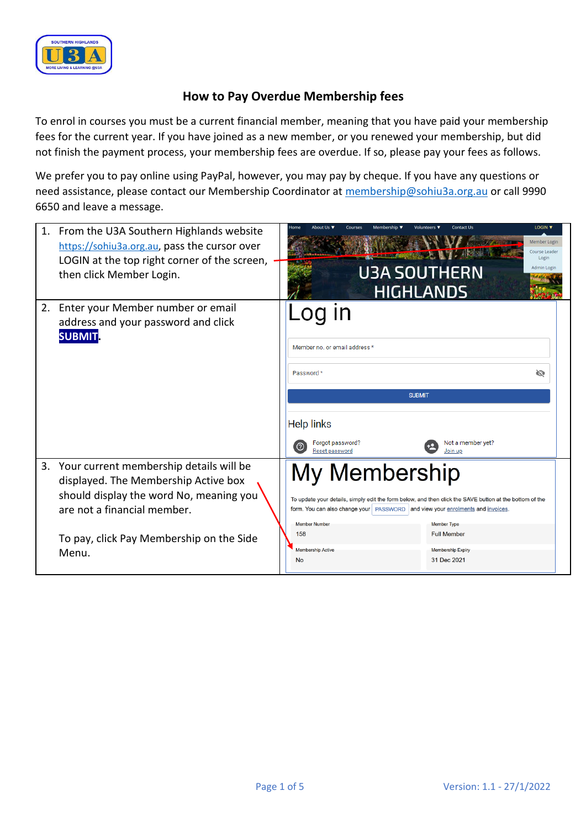

## **How to Pay Overdue Membership fees**

To enrol in courses you must be a current financial member, meaning that you have paid your membership fees for the current year. If you have joined as a new member, or you renewed your membership, but did not finish the payment process, your membership fees are overdue. If so, please pay your fees as follows.

We prefer you to pay online using PayPal, however, you may pay by cheque. If you have any questions or need assistance, please contact our Membership Coordinator at [membership@sohiu3a.org.au](mailto:membership@sohiu3a.org.au) or call 9990 6650 and leave a message.

| 1. | From the U3A Southern Highlands website<br>https://sohiu3a.org.au, pass the cursor over<br>LOGIN at the top right corner of the screen,<br>then click Member Login.                                            | <b>ACCEPTANCE OF ACCEPT</b><br><b>U3A SOUTHERN</b><br><b>HIGHLANDS</b>                                                                                               | <b>LOGIN V</b><br>Contact Us<br>Member Login<br>Course Leader<br>Login<br>Admin Login                                                                                                          |  |  |  |  |
|----|----------------------------------------------------------------------------------------------------------------------------------------------------------------------------------------------------------------|----------------------------------------------------------------------------------------------------------------------------------------------------------------------|------------------------------------------------------------------------------------------------------------------------------------------------------------------------------------------------|--|--|--|--|
| 2. | Enter your Member number or email<br>address and your password and click<br><b>SUBMIT</b>                                                                                                                      | Member no, or email address *<br>Password *<br><b>SUBMIT</b><br><b>Help links</b><br>Forgot password?<br>$\odot$<br>Reset password                                   | ⑭<br>Not a member yet?<br>Join up                                                                                                                                                              |  |  |  |  |
| 3. | Your current membership details will be<br>displayed. The Membership Active box<br>should display the word No, meaning you<br>are not a financial member.<br>To pay, click Pay Membership on the Side<br>Menu. | My Membership<br>form. You can also change your   PASSWORD   and view your enrolments and invoices.<br><b>Member Number</b><br>158<br><b>Membership Active</b><br>No | To update your details, simply edit the form below, and then click the SAVE button at the bottom of the<br><b>Member Type</b><br><b>Full Member</b><br><b>Membership Expiry</b><br>31 Dec 2021 |  |  |  |  |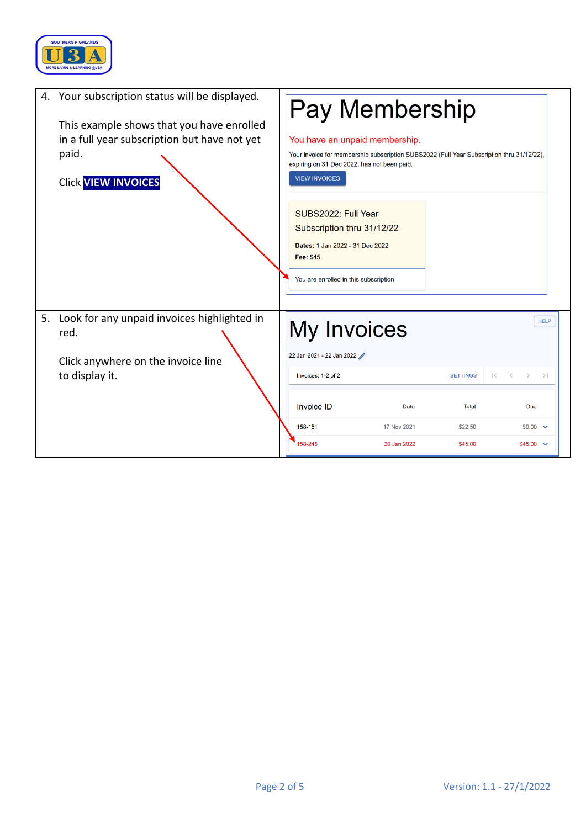

|    | 4. Your subscription status will be displayed.<br>This example shows that you have enrolled<br>in a full year subscription but have not yet<br>paid.<br><b>Click VIEW INVOICES</b> | Pay Membership<br>You have an unpaid membership.<br>Your invoice for membership subscription SUBS2022 (Full Year Subscription thru 31/12/22),<br>expiring on 31 Dec 2022, has not been paid.<br><b>VIEW INVOICES</b> |                    |                                                             |                                   |             |
|----|------------------------------------------------------------------------------------------------------------------------------------------------------------------------------------|----------------------------------------------------------------------------------------------------------------------------------------------------------------------------------------------------------------------|--------------------|-------------------------------------------------------------|-----------------------------------|-------------|
|    |                                                                                                                                                                                    | SUBS2022: Full Year<br>Subscription thru 31/12/22<br>Dates: 1 Jan 2022 - 31 Dec 2022<br><b>Fee: \$45</b><br>You are enrolled in this subscription                                                                    |                    |                                                             |                                   |             |
| 5. | Look for any unpaid invoices highlighted in<br>red.<br>Click anywhere on the invoice line<br>to display it.                                                                        | My Invoices<br>22 Jan 2021 - 22 Jan 2022<br>Invoices: 1-2 of 2                                                                                                                                                       | <b>SETTINGS</b>    | $\vert \langle \hspace{.1cm} \rangle \hspace{.1cm} \rangle$ | $>$ $>$                           | <b>HELP</b> |
|    |                                                                                                                                                                                    | <b>Invoice ID</b><br>Date                                                                                                                                                                                            | Total              |                                                             | Due                               |             |
|    |                                                                                                                                                                                    | 158-151<br>17 Nov 2021<br>158-245<br>20 Jan 2022                                                                                                                                                                     | \$22.50<br>\$45.00 |                                                             | $$0.00$ $\vee$<br>$$45.00$ $\sim$ |             |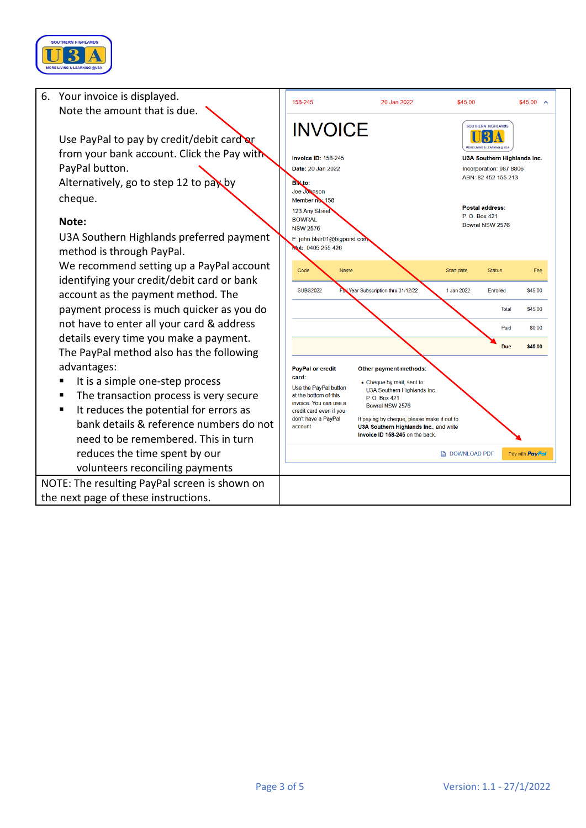

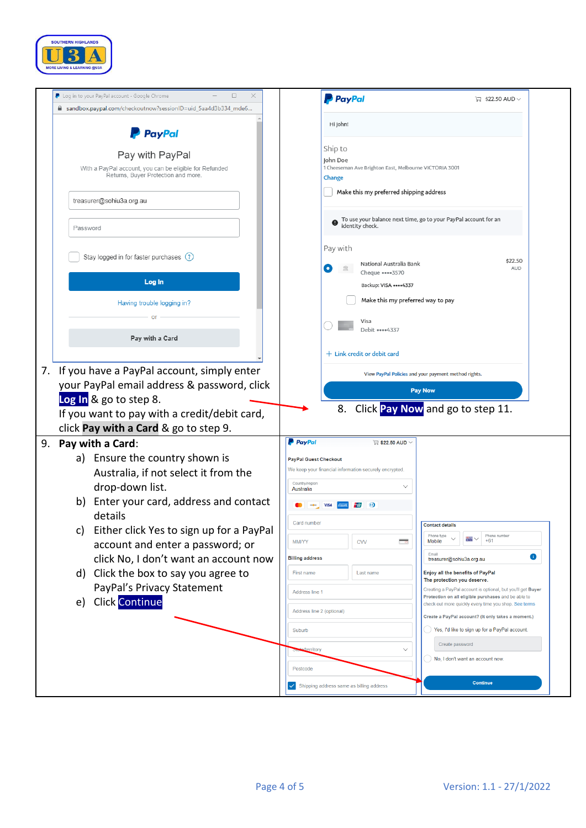

|                                                                | <b>PayPal</b><br>$\Box$ \$22.50 AUD $\vee$                                                                   |
|----------------------------------------------------------------|--------------------------------------------------------------------------------------------------------------|
| m sandbox.paypal.com/checkoutnow?sessionID=uid_5aa4d3b334_mde6 |                                                                                                              |
| <b>PayPal</b>                                                  | Hi John!                                                                                                     |
| Pay with PayPal                                                | Ship to                                                                                                      |
| With a PayPal account, you can be eligible for Refunded        | John Doe<br>1 Cheeseman Ave Brighton East, Melbourne VICTORIA 3001                                           |
| Returns, Buyer Protection and more.                            | Change                                                                                                       |
| treasurer@sohiu3a.org.au                                       | Make this my preferred shipping address                                                                      |
| Password                                                       | To use your balance next time, go to your PayPal account for an<br>identity check.                           |
|                                                                | Pay with                                                                                                     |
| Stay logged in for faster purchases (?)                        | \$22.50                                                                                                      |
|                                                                | National Australia Bank<br><b>AUD</b><br>Cheque •••• 3570                                                    |
| Log In                                                         | Backup: VISA **** 4337                                                                                       |
| Having trouble logging in?                                     | Make this my preferred way to pay                                                                            |
|                                                                | Visa                                                                                                         |
| Pay with a Card                                                | Debit ••••4337                                                                                               |
|                                                                | $+$ Link credit or debit card                                                                                |
|                                                                |                                                                                                              |
| If you have a PayPal account, simply enter<br>7.               | View PayPal Policies and your payment method rights.                                                         |
| your PayPal email address & password, click                    | <b>Pay Now</b>                                                                                               |
| Log In & go to step 8.                                         | Click Pay Now and go to step 11.<br>8.                                                                       |
| If you want to pay with a credit/debit card,                   |                                                                                                              |
| click Pay with a Card & go to step 9.                          | <b>P</b> PayPal<br>$\triangledown$ \$22.50 AUD $\vee$                                                        |
| Pay with a Card:<br>9.                                         |                                                                                                              |
| Ensure the country shown is<br>a)                              | <b>PayPal Guest Checkout</b><br>We keep your financial information securely encrypted.                       |
| Australia, if not select it from the                           | Country/region                                                                                               |
| drop-down list.                                                | Australia                                                                                                    |
| Enter your card, address and contact<br>b)<br>details          | $\omega$<br>Card number                                                                                      |
| c) Either click Yes to sign up for a PayPal                    | <b>Contact details</b><br>Phone number<br>Phone type<br>$\cdot$                                              |
| account and enter a password; or                               | $+61$<br>Mobile<br><b>MM/YY</b><br><b>CVV</b>                                                                |
| click No, I don't want an account now                          | Email<br>O<br><b>Billing address</b><br>treasurer@sohiu3a.org.au                                             |
|                                                                | Enjoy all the benefits of PayPal<br>First name<br>Last name                                                  |
| Click the box to say you agree to<br>d)                        | The protection you deserve.                                                                                  |
| PayPal's Privacy Statement                                     | Creating a PayPal account is optional, but you'll get Buyer<br>Address line 1                                |
| <b>Click Continue</b><br>e)                                    | Protection on all eligible purchases and be able to<br>check out more quickly every time you shop. See terms |
|                                                                | Address line 2 (optional)<br>Create a PayPal account? (It only takes a moment.)                              |
|                                                                | Yes, I'd like to sign up for a PayPal account.<br>Suburb                                                     |
|                                                                | Create password<br>$\checkmark$<br>erritory                                                                  |
|                                                                | No, I don't want an account now.<br>Postcode                                                                 |